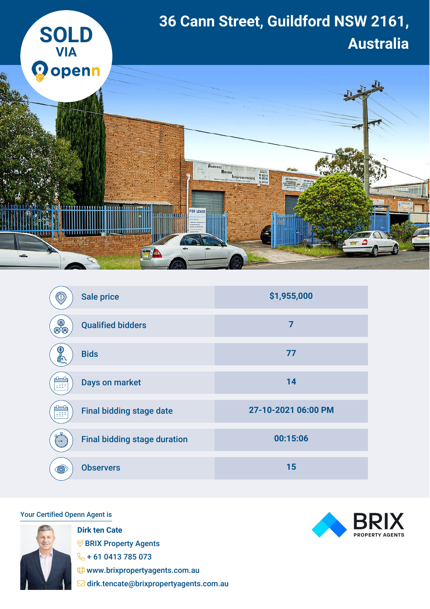

| ઉ        | <b>Sale price</b>                   | \$1,955,000         |
|----------|-------------------------------------|---------------------|
| ල<br>මයි | <b>Qualified bidders</b>            | $\overline{7}$      |
| . S.     | <b>Bids</b>                         | 77                  |
| 699      | <b>Days on market</b>               | 14                  |
| 155F     | <b>Final bidding stage date</b>     | 27-10-2021 06:00 PM |
|          | <b>Final bidding stage duration</b> | 00:15:06            |
| <b>C</b> | <b>Observers</b>                    | 15                  |

## Your Certified Openn Agent is



**Dirk ten Cate SPRIX Property Agents**  $\%$  + 61 0413 785 073 www.brixpropertyagents.com.au dirk.tencate@brixpropertyagents.com.au

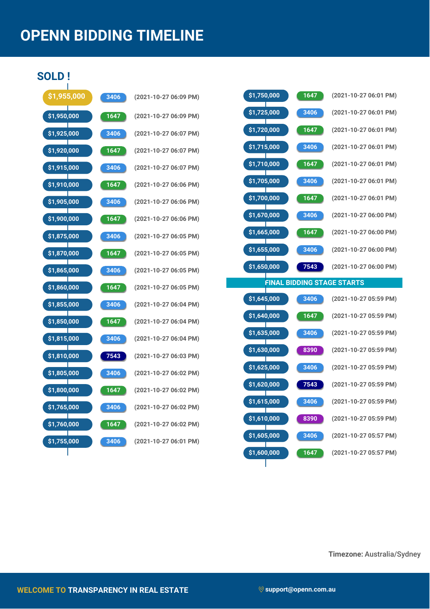## **OPENN BIDDING TIMELINE**

**SOLD !**

| \$1,955,000                 | 3406               | (2021-10      |
|-----------------------------|--------------------|---------------|
| \$1,950,000                 | 1647               | $(2021 - 10)$ |
| \$1,925,000                 | 3406               | $(2021 - 10)$ |
| \$1,920,000<br>Т            | 1647               | $(2021 - 10)$ |
| \$1,915,000                 | 3406               | $(2021 - 10)$ |
| \$1,910,000<br>T            | 1647               | (2021-10      |
| \$1,905,000                 | 3406               | $(2021 - 10)$ |
| \$1,900,000<br>$\mathbb{R}$ | 1647               | $(2021 - 10)$ |
| \$1,875,000                 | 3406               | $(2021 - 10)$ |
| \$1,870,000                 | 1647               | $(2021 - 10)$ |
| \$1,865,000                 | 3406               | $(2021 - 10)$ |
| \$1,860,000                 | 1647               | $(2021 - 10)$ |
| \$1,855,000                 | 3406               | $(2021 - 10)$ |
| \$1,850,000                 | 1647               | $(2021 - 10)$ |
| \$1,815,000<br>T            | 3406               | $(2021 - 10)$ |
| \$1,810,000                 | 7543               | $(2021 - 10)$ |
| \$1,805,000                 | 3406               | $(2021 - 10)$ |
| \$1,800,000                 | $\frac{1647}{164}$ | (2021-10      |
| \$1,765,000                 | 3406               | $(2021 - 10)$ |
| \$1,760,000                 | 1647               | (2021-10      |
| \$1,755,000                 | 3406               | $(2021 - 10)$ |
|                             |                    |               |

| 3406              | (2021-10-27 06:09 PM) |
|-------------------|-----------------------|
| 1647              | (2021-10-27 06:09 PM) |
| 3406              | (2021-10-27 06:07 PM) |
| 1647              | (2021-10-27 06:07 PM) |
| 3406              | (2021-10-27 06:07 PM) |
| 1647              | (2021-10-27 06:06 PM) |
| $\overline{3406}$ | (2021-10-27 06:06 PM) |
| 1647              | (2021-10-27 06:06 PM) |
| 3406              | (2021-10-27 06:05 PM) |
| 1647              | (2021-10-27 06:05 PM) |
| 3406              | (2021-10-27 06:05 PM) |
| 1647              | (2021-10-27 06:05 PM) |
| 3406              | (2021-10-27 06:04 PM) |
| 1647              | (2021-10-27 06:04 PM) |
| 3406              | (2021-10-27 06:04 PM) |
| 7543              | (2021-10-27 06:03 PM) |
| 3406              | (2021-10-27 06:02 PM) |
| $\overline{164}$  | (2021-10-27 06:02 PM) |
| 3406              | (2021-10-27 06:02 PM) |
| 1647              | (2021-10-27 06:02 PM) |
| 3406              | (2021-10-27 06:01 PM) |

| \$1,750,000 | 1647 | (2021-10-27 06:01 PM)             |
|-------------|------|-----------------------------------|
| \$1,725,000 | 3406 | (2021-10-27 06:01 PM)             |
| \$1,720,000 | 1647 | (2021-10-27 06:01 PM)             |
| \$1,715,000 | 3406 | (2021-10-27 06:01 PM)             |
| \$1,710,000 | 1647 | (2021-10-27 06:01 PM)             |
| \$1,705,000 | 3406 | (2021-10-27 06:01 PM)             |
| \$1,700,000 | 1647 | (2021-10-27 06:01 PM)             |
| \$1,670,000 | 3406 | (2021-10-27 06:00 PM)             |
| \$1,665,000 | 1647 | (2021-10-27 06:00 PM)             |
| \$1,655,000 | 3406 | (2021-10-27 06:00 PM)             |
| \$1,650,000 | 7543 | (2021-10-27 06:00 PM)             |
|             |      | <b>FINAL BIDDING STAGE STARTS</b> |

| \$1,645,000 | 3406 | (2021-10-27 05:59 PM) |
|-------------|------|-----------------------|
| \$1,640,000 | 1647 | (2021-10-27 05:59 PM) |
| \$1,635,000 | 3406 | (2021-10-27 05:59 PM) |
| \$1,630,000 | 8390 | (2021-10-27 05:59 PM) |
| \$1,625,000 | 3406 | (2021-10-27 05:59 PM) |
| \$1,620,000 | 7543 | (2021-10-27 05:59 PM) |
| \$1,615,000 | 3406 | (2021-10-27 05:59 PM) |
| \$1,610,000 | 8390 | (2021-10-27 05:59 PM) |
| \$1,605,000 | 3406 | (2021-10-27 05:57 PM) |
| \$1,600,000 | 1647 | (2021-10-27 05:57 PM) |

**Timezone:** Australia/Sydney